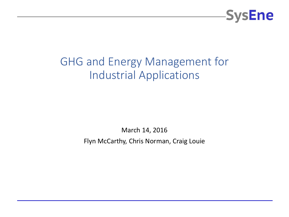

### GHG and Energy Management for Industrial Applications

March 14, 2016

Flyn McCarthy, Chris Norman, Craig Louie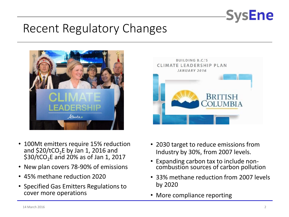

### Recent Regulatory Changes





- New plan covers 78-90% of emissions
- 45% methane reduction 2020
- Specified Gas Emitters Regulations to cover more operations



- 2030 target to reduce emissions from Industry by 30%, from 2007 levels.
- Expanding carbon tax to include noncombustion sources of carbon pollution
- 33% methane reduction from 2007 levels by 2020
- More compliance reporting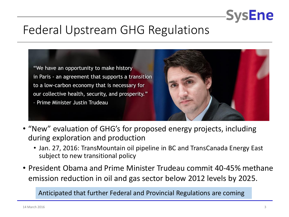

### Federal Upstream GHG Regulations

"We have an opportunity to make history in Paris - an agreement that supports a transition to a low-carbon economy that is necessary for our collective health, security, and prosperity." - Prime Minister Justin Trudeau



- "New" evaluation of GHG's for proposed energy projects, including during exploration and production
	- Jan. 27, 2016: TransMountain oil pipeline in BC and TransCanada Energy East subject to new transitional policy
- President Obama and Prime Minister Trudeau commit 40-45% methane emission reduction in oil and gas sector below 2012 levels by 2025.

Anticipated that further Federal and Provincial Regulations are coming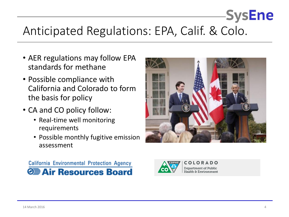## Anticipated Regulations: EPA, Calif. & Colo.

- AER regulations may follow EPA standards for methane
- Possible compliance with California and Colorado to form the basis for policy
- CA and CO policy follow:
	- Real-time well monitoring requirements
	- Possible monthly fugitive emission assessment







**Department of Public Health & Environment**  **SysEne**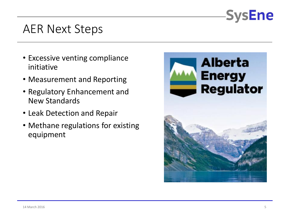

### AER Next Steps

- Excessive venting compliance initiative
- Measurement and Reporting
- Regulatory Enhancement and New Standards
- Leak Detection and Repair
- Methane regulations for existing equipment

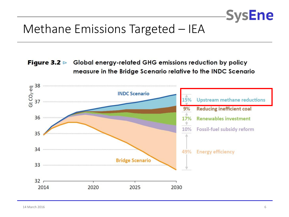

### Methane Emissions Targeted – IEA

**Figure 3.2**  $\triangleright$  Global energy-related GHG emissions reduction by policy measure in the Bridge Scenario relative to the INDC Scenario

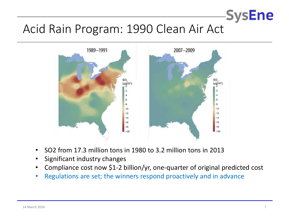### Acid Rain Program: 1990 Clean Air Act



- SO2 from 17.3 million tons in 1980 to 3.2 million tons in 2013
- Significant industry changes
- Compliance cost now \$1-2 billion/yr, one-quarter of original predicted cost
- Regulations are set; the winners respond proactively and in advance

**SysEne**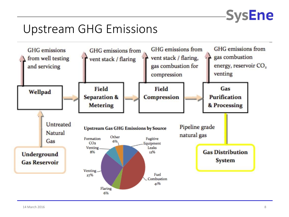

### Upstream GHG Emissions

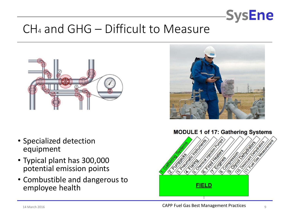

### $CH<sub>4</sub>$  and GHG – Difficult to Measure



- Specialized detection equipment
- Typical plant has 300,000 potential emission points
- Combustible and dangerous to employee health



#### **MODULE 1 of 17: Gathering Systems** ies<br>Sterne Sterne<br>Sterne Sterne **Silver Strategy CONTRACTOR** alist Calledge es<br>Estados de **REAT REACT** to lead **FIELD**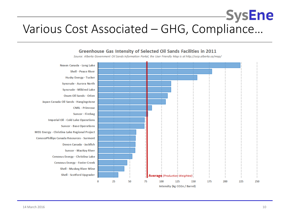### -SysEne Various Cost Associated – GHG, Compliance…



#### Greenhouse Gas Intensity of Selected Oil Sands Facilities in 2011

Source: Alberta Government Oil Sands Information Portal, the User Friendly Map is at http://osip.alberta.ca/map/

Intensity (kg CO2e / Barrel)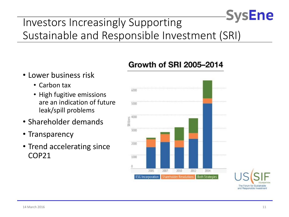### **SysEne** Investors Increasingly Supporting Sustainable and Responsible Investment (SRI)

- Lower business risk
	- Carbon tax
	- High fugitive emissions are an indication of future leak/spill problems
- Shareholder demands
- Transparency
- Trend accelerating since COP21

### Growth of SRI 2005-2014



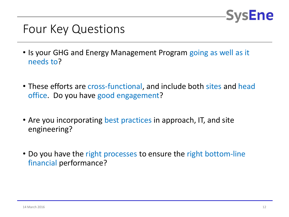

### Four Key Questions

- Is your GHG and Energy Management Program going as well as it needs to?
- These efforts are cross-functional, and include both sites and head office. Do you have good engagement?
- Are you incorporating best practices in approach, IT, and site engineering?
- Do you have the right processes to ensure the right bottom-line financial performance?